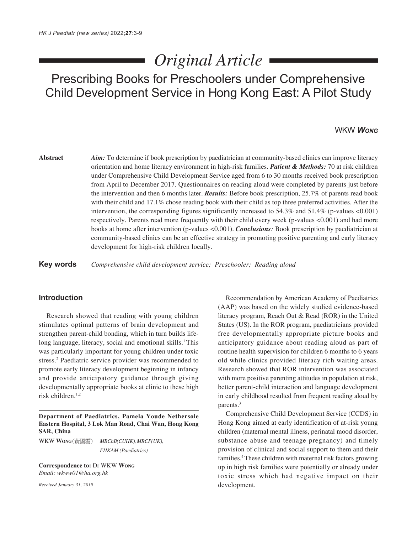# *Original Article*

Prescribing Books for Preschoolers under Comprehensive Child Development Service in Hong Kong East: A Pilot Study

# WKW *WONG*

**Abstract** *Aim:* To determine if book prescription by paediatrician at community-based clinics can improve literacy orientation and home literacy environment in high-risk families. *Patient & Methods:* 70 at risk children under Comprehensive Child Development Service aged from 6 to 30 months received book prescription from April to December 2017. Questionnaires on reading aloud were completed by parents just before the intervention and then 6 months later. *Results:* Before book prescription, 25.7% of parents read book with their child and 17.1% chose reading book with their child as top three preferred activities. After the intervention, the corresponding figures significantly increased to 54.3% and 51.4% (p-values <0.001) respectively. Parents read more frequently with their child every week (p-values <0.001) and had more books at home after intervention (p-values <0.001). *Conclusions:* Book prescription by paediatrician at community-based clinics can be an effective strategy in promoting positive parenting and early literacy development for high-risk children locally.

**Key words** *Comprehensive child development service; Preschooler; Reading aloud*

# **Introduction**

Research showed that reading with young children stimulates optimal patterns of brain development and strengthen parent-child bonding, which in turn builds lifelong language, literacy, social and emotional skills.<sup>1</sup> This was particularly important for young children under toxic stress.<sup>2</sup> Paediatric service provider was recommended to promote early literacy development beginning in infancy and provide anticipatory guidance through giving developmentally appropriate books at clinic to these high risk children. $1,2$ 

**Department of Paediatrics, Pamela Youde Nethersole Eastern Hospital, 3 Lok Man Road, Chai Wan, Hong Kong SAR, China**

WKW **WONG** *MBChB(CUHK), MRCP(UK), FHKAM (Paediatrics)*

**Correspondence to:** Dr WKW **WONG** *Email: wkww01@ha.org.hk*

*Received January 31, 2019*

Recommendation by American Academy of Paediatrics (AAP) was based on the widely studied evidence-based literacy program, Reach Out & Read (ROR) in the United States (US). In the ROR program, paediatricians provided free developmentally appropriate picture books and anticipatory guidance about reading aloud as part of routine health supervision for children 6 months to 6 years old while clinics provided literacy rich waiting areas. Research showed that ROR intervention was associated with more positive parenting attitudes in population at risk, better parent-child interaction and language development in early childhood resulted from frequent reading aloud by parents.3

Comprehensive Child Development Service (CCDS) in Hong Kong aimed at early identification of at-risk young children (maternal mental illness, perinatal mood disorder, substance abuse and teenage pregnancy) and timely provision of clinical and social support to them and their families.4 These children with maternal risk factors growing up in high risk families were potentially or already under toxic stress which had negative impact on their development.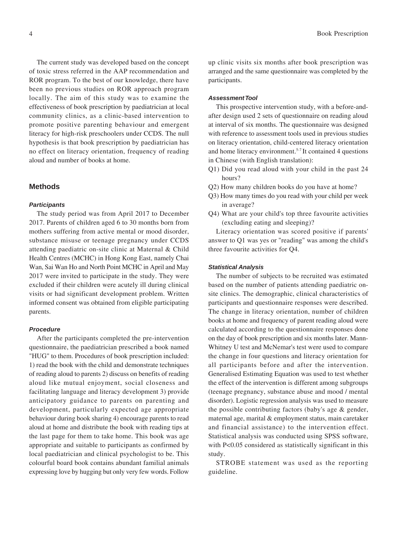The current study was developed based on the concept of toxic stress referred in the AAP recommendation and ROR program. To the best of our knowledge, there have been no previous studies on ROR approach program locally. The aim of this study was to examine the effectiveness of book prescription by paediatrician at local community clinics, as a clinic-based intervention to promote positive parenting behaviour and emergent literacy for high-risk preschoolers under CCDS. The null hypothesis is that book prescription by paediatrician has no effect on literacy orientation, frequency of reading aloud and number of books at home.

## **Methods**

#### *Participants*

The study period was from April 2017 to December 2017. Parents of children aged 6 to 30 months born from mothers suffering from active mental or mood disorder, substance misuse or teenage pregnancy under CCDS attending paediatric on-site clinic at Maternal & Child Health Centres (MCHC) in Hong Kong East, namely Chai Wan, Sai Wan Ho and North Point MCHC in April and May 2017 were invited to participate in the study. They were excluded if their children were acutely ill during clinical visits or had significant development problem. Written informed consent was obtained from eligible participating parents.

#### *Procedure*

After the participants completed the pre-intervention questionnaire, the paediatrician prescribed a book named "HUG" to them. Procedures of book prescription included: 1) read the book with the child and demonstrate techniques of reading aloud to parents 2) discuss on benefits of reading aloud like mutual enjoyment, social closeness and facilitating language and literacy development 3) provide anticipatory guidance to parents on parenting and development, particularly expected age appropriate behaviour during book sharing 4) encourage parents to read aloud at home and distribute the book with reading tips at the last page for them to take home. This book was age appropriate and suitable to participants as confirmed by local paediatrician and clinical psychologist to be. This colourful board book contains abundant familial animals expressing love by hugging but only very few words. Follow

up clinic visits six months after book prescription was arranged and the same questionnaire was completed by the participants.

#### *Assessment Tool*

This prospective intervention study, with a before-andafter design used 2 sets of questionnaire on reading aloud at interval of six months. The questionnaire was designed with reference to assessment tools used in previous studies on literacy orientation, child-centered literacy orientation and home literacy environment.5-7 It contained 4 questions in Chinese (with English translation):

- Q1) Did you read aloud with your child in the past 24 hours?
- Q2) How many children books do you have at home?
- Q3) How many times do you read with your child per week in average?
- Q4) What are your child's top three favourite activities (excluding eating and sleeping)?

Literacy orientation was scored positive if parents' answer to Q1 was yes or "reading" was among the child's three favourite activities for Q4.

#### *Statistical Analysis*

The number of subjects to be recruited was estimated based on the number of patients attending paediatric onsite clinics. The demographic, clinical characteristics of participants and questionnaire responses were described. The change in literacy orientation, number of children books at home and frequency of parent reading aloud were calculated according to the questionnaire responses done on the day of book prescription and six months later. Mann-Whitney U test and McNemar's test were used to compare the change in four questions and literacy orientation for all participants before and after the intervention. Generalised Estimating Equation was used to test whether the effect of the intervention is different among subgroups (teenage pregnancy, substance abuse and mood / mental disorder). Logistic regression analysis was used to measure the possible contributing factors (baby's age & gender, maternal age, marital & employment status, main caretaker and financial assistance) to the intervention effect. Statistical analysis was conducted using SPSS software, with P<0.05 considered as statistically significant in this study.

STROBE statement was used as the reporting guideline.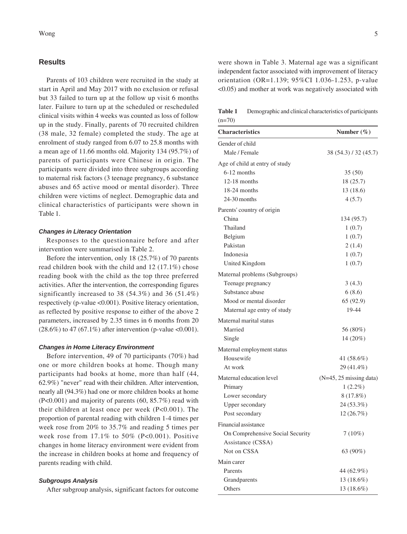## **Results**

Parents of 103 children were recruited in the study at start in April and May 2017 with no exclusion or refusal but 33 failed to turn up at the follow up visit 6 months later. Failure to turn up at the scheduled or rescheduled clinical visits within 4 weeks was counted as loss of follow up in the study. Finally, parents of 70 recruited children (38 male, 32 female) completed the study. The age at enrolment of study ranged from 6.07 to 25.8 months with a mean age of 11.66 months old. Majority 134 (95.7%) of parents of participants were Chinese in origin. The participants were divided into three subgroups according to maternal risk factors (3 teenage pregnancy, 6 substance abuses and 65 active mood or mental disorder). Three children were victims of neglect. Demographic data and clinical characteristics of participants were shown in Table 1.

#### *Changes in Literacy Orientation*

Responses to the questionnaire before and after intervention were summarised in Table 2.

Before the intervention, only 18 (25.7%) of 70 parents read children book with the child and 12 (17.1%) chose reading book with the child as the top three preferred activities. After the intervention, the corresponding figures significantly increased to 38 (54.3%) and 36 (51.4%) respectively (p-value <0.001). Positive literacy orientation, as reflected by positive response to either of the above 2 parameters, increased by 2.35 times in 6 months from 20  $(28.6\%)$  to 47 (67.1%) after intervention (p-value <0.001).

#### *Changes in Home Literacy Environment*

Before intervention, 49 of 70 participants (70%) had one or more children books at home. Though many participants had books at home, more than half (44, 62.9%) "never" read with their children. After intervention, nearly all (94.3%) had one or more children books at home (P<0.001) and majority of parents (60, 85.7%) read with their children at least once per week (P<0.001). The proportion of parental reading with children 1-4 times per week rose from 20% to 35.7% and reading 5 times per week rose from  $17.1\%$  to  $50\%$  (P<0.001). Positive changes in home literacy environment were evident from the increase in children books at home and frequency of parents reading with child.

## *Subgroups Analysis*

After subgroup analysis, significant factors for outcome

were shown in Table 3. Maternal age was a significant independent factor associated with improvement of literacy orientation (OR=1.139; 95%CI 1.036-1.253, p-value <0.05) and mother at work was negatively associated with

**Table 1** Demographic and clinical characteristics of participants  $(n=70)$ 

| <b>Characteristics</b>           | Number (%)                |
|----------------------------------|---------------------------|
| Gender of child                  |                           |
| Male / Female                    | 38 (54.3) / 32 (45.7)     |
| Age of child at entry of study   |                           |
| $6-12$ months                    | 35(50)                    |
| $12-18$ months                   | 18 (25.7)                 |
| 18-24 months                     | 13 (18.6)                 |
| $24-30$ months                   | 4(5.7)                    |
| Parents' country of origin       |                           |
| China                            | 134 (95.7)                |
| Thailand                         | 1(0.7)                    |
| Belgium                          | 1(0.7)                    |
| Pakistan                         | 2(1.4)                    |
| Indonesia                        | 1(0.7)                    |
| United Kingdom                   | 1(0.7)                    |
| Maternal problems (Subgroups)    |                           |
| Teenage pregnancy                | 3(4.3)                    |
| Substance abuse                  | 6(8.6)                    |
| Mood or mental disorder          | 65 (92.9)                 |
| Maternal age entry of study      | 19-44                     |
| Maternal marital status          |                           |
| Married                          | 56 (80%)                  |
| Single                           | 14 (20%)                  |
| Maternal employment status       |                           |
| Housewife                        | 41 (58.6%)                |
| At work                          | 29 (41.4%)                |
| Maternal education level         | $(N=45, 25$ missing data) |
| Primary                          | $1(2.2\%)$                |
| Lower secondary                  | 8(17.8%)                  |
| Upper secondary                  | 24 (53.3%)                |
| Post secondary                   | 12 (26.7%)                |
| Financial assistance             |                           |
| On Comprehensive Social Security | $7(10\%)$                 |
| Assistance (CSSA)                |                           |
| Not on CSSA                      | 63 (90%)                  |
| Main carer                       |                           |
| Parents                          | 44 (62.9%)                |
| Grandparents                     | $13(18.6\%)$              |
| Others                           | 13 (18.6%)                |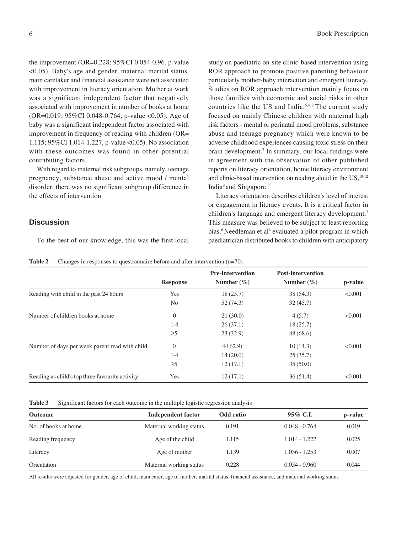the improvement (OR=0.228; 95%CI 0.054-0.96, p-value <0.05). Baby's age and gender, maternal marital status, main caretaker and financial assistance were not associated with improvement in literacy orientation. Mother at work was a significant independent factor that negatively associated with improvement in number of books at home (OR=0.019; 95%CI 0.048-0.764, p-value <0.05). Age of baby was a significant independent factor associated with improvement in frequency of reading with children (OR= 1.115; 95%CI 1.014-1.227, p-value <0.05). No association with these outcomes was found in other potential contributing factors.

With regard to maternal risk subgroups, namely, teenage pregnancy, substance abuse and active mood / mental disorder, there was no significant subgroup difference in the effects of intervention.

# **Discussion**

To the best of our knowledge, this was the first local

study on paediatric on-site clinic-based intervention using ROR approach to promote positive parenting behaviour particularly mother-baby interaction and emergent literacy. Studies on ROR approach intervention mainly focus on those families with economic and social risks in other countries like the US and India.5,8,9 The current study focused on mainly Chinese children with maternal high risk factors - mental or perinatal mood problems, substance abuse and teenage pregnancy which were known to be adverse childhood experiences causing toxic stress on their brain development.<sup>2</sup> In summary, our local findings were in agreement with the observation of other published reports on literacy orientation, home literacy environment and clinic-based intervention on reading aloud in the  $US<sub>10-12</sub>$ India9 and Singapore.7

Literacy orientation describes children's level of interest or engagement in literacy events. It is a critical factor in children's language and emergent literacy development.7 This measure was believed to be subject to least reporting bias.<sup>6</sup> Needleman et al<sup>6</sup> evaluated a pilot program in which paediatrician distributed books to children with anticipatory

| <b>Table 2</b> | Changes in responses to questionnaire before and after intervention $(n=70)$ |  |
|----------------|------------------------------------------------------------------------------|--|
|                |                                                                              |  |

|                                                 |                 | <b>Pre-intervention</b> | <b>Post-intervention</b> |         |
|-------------------------------------------------|-----------------|-------------------------|--------------------------|---------|
|                                                 | <b>Response</b> | Number $(\% )$          | Number $(\% )$           | p-value |
| Reading with child in the past 24 hours         | Yes             | 18(25.7)                | 38 (54.3)                | < 0.001 |
|                                                 | N <sub>0</sub>  | 52(74.3)                | 32(45.7)                 |         |
| Number of children books at home                | 0               | 21(30.0)                | 4(5.7)                   | < 0.001 |
|                                                 | $1 - 4$         | 26(37.1)                | 18(25.7)                 |         |
|                                                 | $\geq$ 5        | 23(32.9)                | 48(68.6)                 |         |
| Number of days per week parent read with child  | $\theta$        | 4462.9                  | 10(14.3)                 | < 0.001 |
|                                                 | $1-4$           | 14(20.0)                | 25(35.7)                 |         |
|                                                 | $\geq$ 5        | 12(17.1)                | 35(50.0)                 |         |
| Reading as child's top three favourite activity | Yes             | 12(17.1)                | 36(51.4)                 | < 0.001 |

| Table 3 | Significant factors for each outcome in the multiple logistic regression analysis |  |  |
|---------|-----------------------------------------------------------------------------------|--|--|
|         |                                                                                   |  |  |

| <b>Outcome</b>       | <b>Independent factor</b> | Odd ratio | 95\% C.I.       | p-value |
|----------------------|---------------------------|-----------|-----------------|---------|
| No. of books at home | Maternal working status   | 0.191     | $0.048 - 0.764$ | 0.019   |
| Reading frequency    | Age of the child          | 1.115     | $1.014 - 1.227$ | 0.025   |
| Literacy             | Age of mother             | 1.139     | $1.036 - 1.253$ | 0.007   |
| Orientation          | Maternal working status   | 0.228     | $0.054 - 0.960$ | 0.044   |

All results were adjusted for gender, age of child, main carer, age of mother, marital status, financial assistance, and maternal working status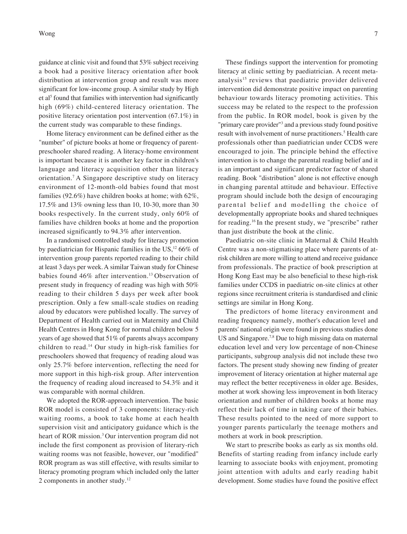Wong  $\frac{1}{2}$  7

guidance at clinic visit and found that 53% subject receiving a book had a positive literacy orientation after book distribution at intervention group and result was more significant for low-income group. A similar study by High et al<sup>5</sup> found that families with intervention had significantly high (69%) child-centered literacy orientation. The positive literacy orientation post intervention (67.1%) in the current study was comparable to these findings.

Home literacy environment can be defined either as the "number" of picture books at home or frequency of parentpreschooler shared reading. A literacy-home environment is important because it is another key factor in children's language and literacy acquisition other than literacy orientation.7 A Singapore descriptive study on literacy environment of 12-month-old babies found that most families (92.6%) have children books at home; with 62%, 17.5% and 13% owning less than 10, 10-30, more than 30 books respectively. In the current study, only 60% of families have children books at home and the proportion increased significantly to 94.3% after intervention.

In a randomised controlled study for literacy promotion by paediatrician for Hispanic families in the US,<sup>12</sup> 66% of intervention group parents reported reading to their child at least 3 days per week.A similar Taiwan study for Chinese babies found 46% after intervention.<sup>13</sup> Observation of present study in frequency of reading was high with 50% reading to their children 5 days per week after book prescription. Only a few small-scale studies on reading aloud by educators were published locally. The survey of Department of Health carried out in Maternity and Child Health Centres in Hong Kong for normal children below 5 years of age showed that 51% of parents always accompany children to read.14 Our study in high-risk families for preschoolers showed that frequency of reading aloud was only 25.7% before intervention, reflecting the need for more support in this high-risk group. After intervention the frequency of reading aloud increased to 54.3% and it was comparable with normal children.

We adopted the ROR-approach intervention. The basic ROR model is consisted of 3 components: literacy-rich waiting rooms, a book to take home at each health supervision visit and anticipatory guidance which is the heart of ROR mission.3 Our intervention program did not include the first component as provision of literary-rich waiting rooms was not feasible, however, our "modified" ROR program as was still effective, with results similar to literacy promoting program which included only the latter 2 components in another study.12

These findings support the intervention for promoting literacy at clinic setting by paediatrician. A recent metaanalysis<sup>15</sup> reviews that paediatric provider delivered intervention did demonstrate positive impact on parenting behaviour towards literacy promoting activities. This success may be related to the respect to the profession from the public. In ROR model, book is given by the "primary care provider"<sup>3</sup> and a previous study found positive result with involvement of nurse practitioners.<sup>5</sup> Health care professionals other than paediatrician under CCDS were encouraged to join. The principle behind the effective intervention is to change the parental reading belief and it is an important and significant predictor factor of shared reading. Book "distribution" alone is not effective enough in changing parental attitude and behaviour. Effective program should include both the design of encouraging parental belief and modelling the choice of developmentally appropriate books and shared techniques for reading.16 In the present study, we "prescribe" rather than just distribute the book at the clinic.

Paediatric on-site clinic in Maternal & Child Health Centre was a non-stigmatising place where parents of atrisk children are more willing to attend and receive guidance from professionals. The practice of book prescription at Hong Kong East may be also beneficial to these high-risk families under CCDS in paediatric on-site clinics at other regions since recruitment criteria is standardised and clinic settings are similar in Hong Kong.

The predictors of home literacy environment and reading frequency namely, mother's education level and parents' national origin were found in previous studies done US and Singapore.<sup>7,8</sup> Due to high missing data on maternal education level and very low percentage of non-Chinese participants, subgroup analysis did not include these two factors. The present study showing new finding of greater improvement of literacy orientation at higher maternal age may reflect the better receptiveness in older age. Besides, mother at work showing less improvement in both literacy orientation and number of children books at home may reflect their lack of time in taking care of their babies. These results pointed to the need of more support to younger parents particularly the teenage mothers and mothers at work in book prescription.

We start to prescribe books as early as six months old. Benefits of starting reading from infancy include early learning to associate books with enjoyment, promoting joint attention with adults and early reading habit development. Some studies have found the positive effect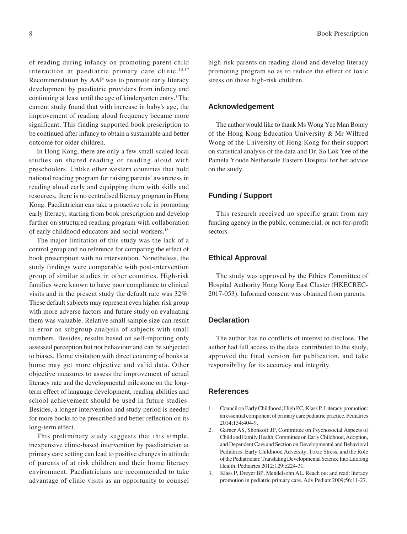of reading during infancy on promoting parent-child interaction at paediatric primary care clinic.<sup>15,17</sup> Recommendation by AAP was to promote early literacy development by paediatric providers from infancy and continuing at least until the age of kindergarten entry.<sup>1</sup> The current study found that with increase in baby's age, the improvement of reading aloud frequency became more significant. This finding supported book prescription to be continued after infancy to obtain a sustainable and better outcome for older children.

In Hong Kong, there are only a few small-scaled local studies on shared reading or reading aloud with preschoolers. Unlike other western countries that hold national reading program for raising parents' awareness in reading aloud early and equipping them with skills and resources, there is no centralised literacy program in Hong Kong. Paediatrician can take a proactive role in promoting early literacy, starting from book prescription and develop further on structured reading program with collaboration of early childhood educators and social workers.18

The major limitation of this study was the lack of a control group and no reference for comparing the effect of book prescription with no intervention. Nonetheless, the study findings were comparable with post-intervention group of similar studies in other countries. High-risk families were known to have poor compliance to clinical visits and in the present study the default rate was 32%. These default subjects may represent even higher risk group with more adverse factors and future study on evaluating them was valuable. Relative small sample size can result in error on subgroup analysis of subjects with small numbers. Besides, results based on self-reporting only assessed perception but not behaviour and can be subjected to biases. Home visitation with direct counting of books at home may get more objective and valid data. Other objective measures to assess the improvement of actual literacy rate and the developmental milestone on the longterm effect of language development, reading abilities and school achievement should be used in future studies. Besides, a longer intervention and study period is needed for more books to be prescribed and better reflection on its long-term effect.

This preliminary study suggests that this simple, inexpensive clinic-based intervention by paediatrician at primary care setting can lead to positive changes in attitude of parents of at risk children and their home literacy environment. Paediatricians are recommended to take advantage of clinic visits as an opportunity to counsel high-risk parents on reading aloud and develop literacy promoting program so as to reduce the effect of toxic stress on these high-risk children.

# **Acknowledgement**

The author would like to thank Ms Wong Yee Man Bonny of the Hong Kong Education University & Mr Wilfred Wong of the University of Hong Kong for their support on statistical analysis of the data and Dr. So Lok Yee of the Pamela Youde Nethersole Eastern Hospital for her advice on the study.

# **Funding / Support**

This research received no specific grant from any funding agency in the public, commercial, or not-for-profit sectors.

# **Ethical Approval**

The study was approved by the Ethics Committee of Hospital Authority Hong Kong East Cluster (HKECREC-2017-053). Informed consent was obtained from parents.

#### **Declaration**

The author has no conflicts of interest to disclose. The author had full access to the data, contributed to the study, approved the final version for publication, and take responsibility for its accuracy and integrity.

# **References**

- 1. Council on Early Childhood; High PC, Klass P. Literacy promotion: an essential component of primary care pediatric practice. Pediatrics 2014;134:404-9.
- 2. Garner AS, Shonkoff JP, Committee on Psychosocial Aspects of Child and Family Health, Committee on Early Childhood, Adoption, and Dependent Care and Section on Developmental and Behavioral Pediatrics. Early Childhood Adversity, Toxic Stress, and the Role of the Pediatrician: Translating Developmental Science Into Lifelong Health. Pediatrics 2012;129:e224-31.
- 3. Klass P, Dreyer BP, Mendelsohn AL. Reach out and read: literacy promotion in pediatric primary care. Adv Pediatr 2009;56:11-27.